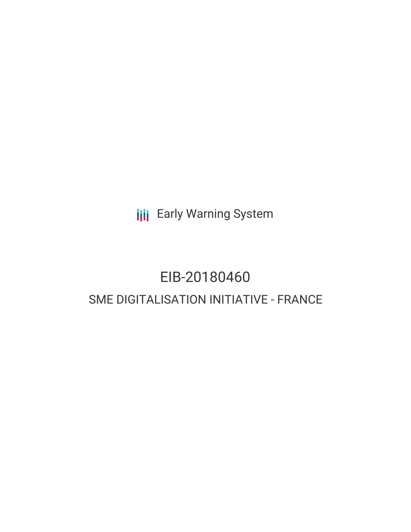**III** Early Warning System

# EIB-20180460 SME DIGITALISATION INITIATIVE - FRANCE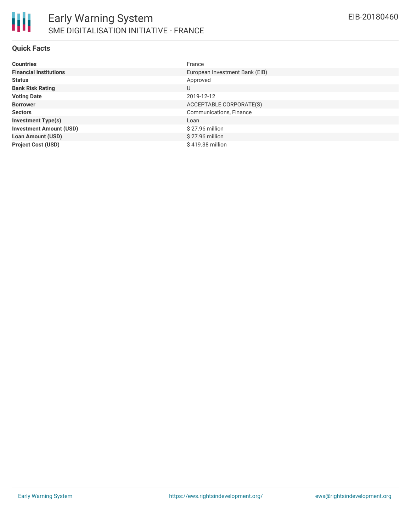

#### **Quick Facts**

| <b>Countries</b>               | France                         |
|--------------------------------|--------------------------------|
| <b>Financial Institutions</b>  | European Investment Bank (EIB) |
| <b>Status</b>                  | Approved                       |
| <b>Bank Risk Rating</b>        | U                              |
| <b>Voting Date</b>             | 2019-12-12                     |
| <b>Borrower</b>                | ACCEPTABLE CORPORATE(S)        |
| <b>Sectors</b>                 | Communications, Finance        |
| <b>Investment Type(s)</b>      | Loan                           |
| <b>Investment Amount (USD)</b> | \$27.96 million                |
| <b>Loan Amount (USD)</b>       | $$27.96$ million               |
| <b>Project Cost (USD)</b>      | \$419.38 million               |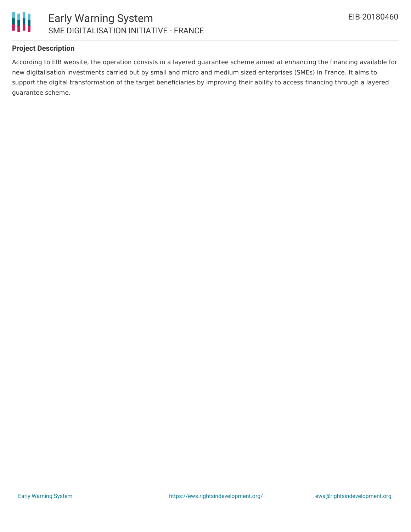

## **Project Description**

According to EIB website, the operation consists in a layered guarantee scheme aimed at enhancing the financing available for new digitalisation investments carried out by small and micro and medium sized enterprises (SMEs) in France. It aims to support the digital transformation of the target beneficiaries by improving their ability to access financing through a layered guarantee scheme.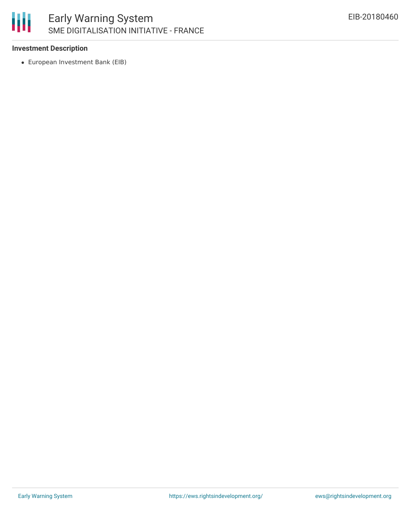# 朋 Early Warning System SME DIGITALISATION INITIATIVE - FRANCE

#### **Investment Description**

European Investment Bank (EIB)